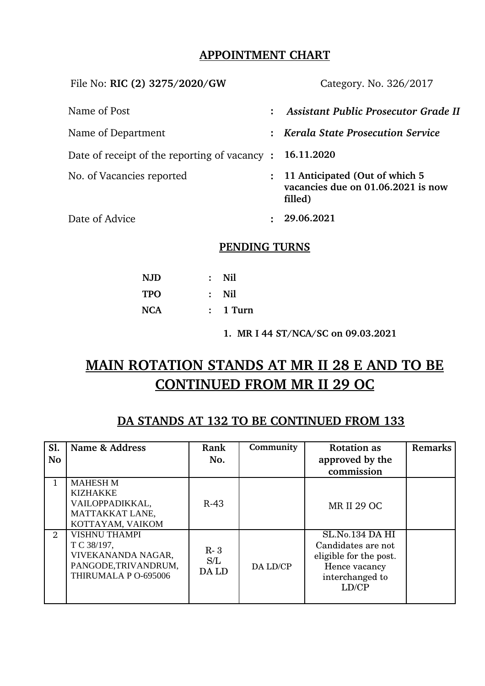## **APPOINTMENT CHART**

| File No: RIC (2) 3275/2020/GW                |                | Category. No. 326/2017                                                          |  |  |
|----------------------------------------------|----------------|---------------------------------------------------------------------------------|--|--|
| Name of Post                                 | $\ddot{\cdot}$ | <b>Assistant Public Prosecutor Grade II</b>                                     |  |  |
| Name of Department                           | $\ddot{\cdot}$ | <b>Kerala State Prosecution Service</b>                                         |  |  |
| Date of receipt of the reporting of vacancy: |                | 16.11.2020                                                                      |  |  |
| No. of Vacancies reported                    | $\mathcal{L}$  | 11 Anticipated (Out of which 5<br>vacancies due on 01.06.2021 is now<br>filled) |  |  |
| Date of Advice                               |                | 29.06.2021                                                                      |  |  |

## **PENDING TURNS**

| <b>NJD</b> | : Nil      |
|------------|------------|
| TPO        | : Nil      |
| NCA        | $: 1$ Turn |

**1. MR I 44 ST/NCA/SC on 09.03.2021**

# **MAIN ROTATION STANDS AT MR II 28 E AND TO BE CONTINUED FROM MR II 29 OC**

## **DA STANDS AT 132 TO BE CONTINUED FROM 133**

| Sl.<br><b>No</b> | Name & Address                                                                                            | Rank<br>No.           | Community | <b>Rotation as</b><br>approved by the<br>commission                                                          | Remarks |
|------------------|-----------------------------------------------------------------------------------------------------------|-----------------------|-----------|--------------------------------------------------------------------------------------------------------------|---------|
|                  | <b>MAHESH M</b><br><b>KIZHAKKE</b><br>VAILOPPADIKKAL,<br>MATTAKKAT LANE,<br>KOTTAYAM, VAIKOM              | $R-43$                |           | <b>MR II 29 OC</b>                                                                                           |         |
| 2                | <b>VISHNU THAMPI</b><br>T C 38/197,<br>VIVEKANANDA NAGAR,<br>PANGODE, TRIVANDRUM,<br>THIRUMALA P O-695006 | $R-3$<br>S/L<br>DA LD | DA LD/CP  | SL.No.134 DA HI<br>Candidates are not<br>eligible for the post.<br>Hence vacancy<br>interchanged to<br>LD/CP |         |